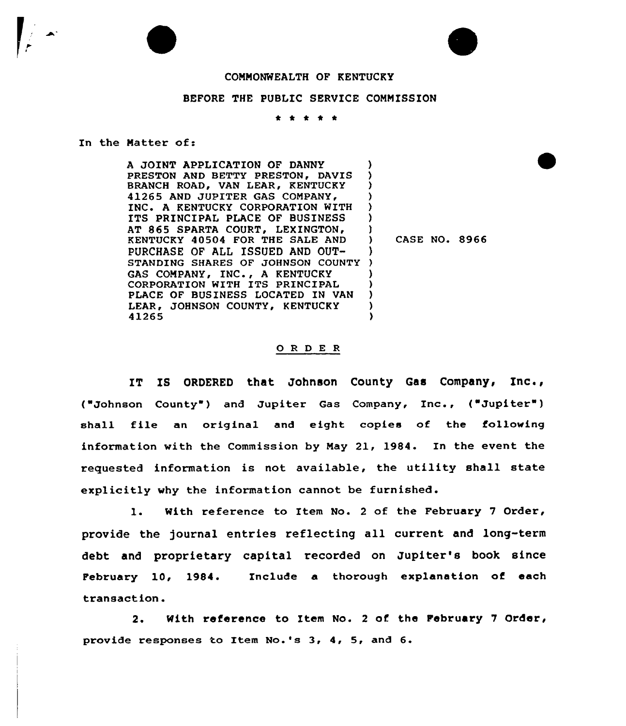

## BEFORE THE PUBLIC SERVICE COMMISSION

\* \* \* \* \*

In the Matter of:

A JOINT APPLICATION OF DANNY PRESTON AND BETTY PRESTON, DAVIS BRANCH ROAD, VAN LEAR, KENTUCKY 41265 AND JUPITER GAS COMPANY, INC A KENTUCKY CORPORATION WITH ITS PRINCIPAL PLACE OF BUSINESS AT 865 SPARTA COURT, LEXINGTON, KENTUCKY 40504 FOR THE SALE AND PURCHASE OF ALL ISSUED AND OUT-STANDING SHARES OF JOHNSON COUNTY ) GAS COMPANY, INC., <sup>A</sup> KENTUCKY CORPORATION WITH ITS PRINCIPAL PLACE OF BUSINESS LOCATED IN VAN LEAR, JOHNSON COUNTY, KENTUCKY 41265 ) ) ) ) ) ) ) ) CASE NO. 8966 ) ) ) 3 )<br>)

## 0 <sup>R</sup> <sup>D</sup> E <sup>R</sup>

IT IS ORDERED that Johnson County Gas Company, Inc., ("Johnson County") and Jupiter Gas Company, Inc., ("Jupiter") shall file an original and eight copies of the fallowing information with the Commission by May 21, 1984. In the event the requested information is not available, the utility shall state explicitly why the information cannot be furnished.

1. With reference to Item No. <sup>2</sup> of the February <sup>7</sup> Order, provide the journal entries reflecting all current and long-term debt and proprietary capital recorded on Jupiter's book since February 10, 1984. Include a thorough explanation of each transaction.

2. With reference to Item No. <sup>2</sup> of the February 7 Order, provide responses to Item No.'s 3, 4, 5, and 6.